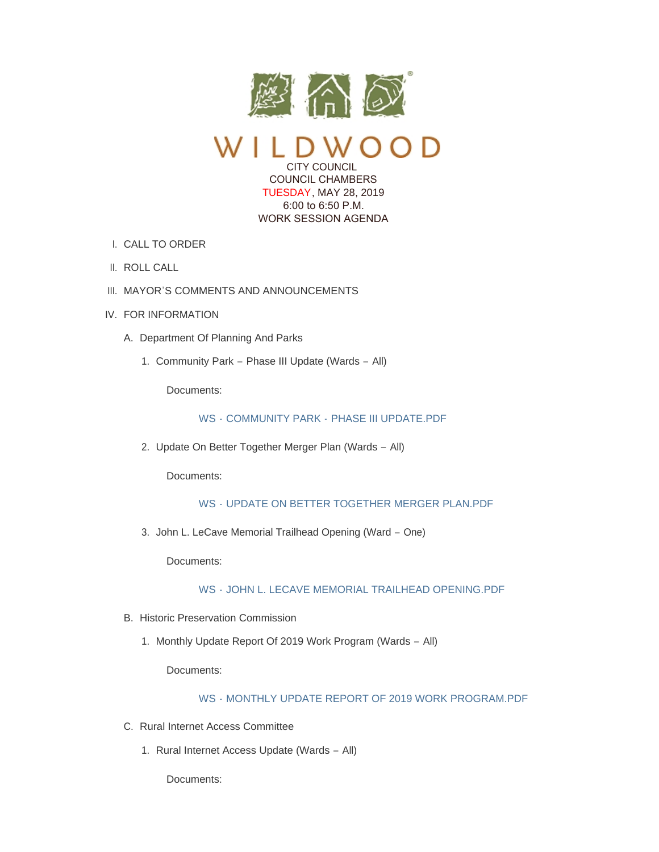

CITY COUNCIL COUNCIL CHAMBERS TUESDAY, MAY 28, 2019 6:00 to 6:50 P.M. WORK SESSION AGENDA

- CALL TO ORDER I.
- II. ROLL CALL
- III. MAYOR'S COMMENTS AND ANNOUNCEMENTS
- IV. FOR INFORMATION
	- A. Department Of Planning And Parks
		- 1. Community Park Phase III Update (Wards All)

Documents:

## WS - COMMUNITY PARK - [PHASE III UPDATE.PDF](https://www.cityofwildwood.com/AgendaCenter/ViewFile/Item/20456?fileID=26154)

2. Update On Better Together Merger Plan (Wards - All)

Documents:

# WS - [UPDATE ON BETTER TOGETHER MERGER PLAN.PDF](https://www.cityofwildwood.com/AgendaCenter/ViewFile/Item/20457?fileID=26155)

3. John L. LeCave Memorial Trailhead Opening (Ward - One)

Documents:

## WS - [JOHN L. LECAVE MEMORIAL TRAILHEAD OPENING.PDF](https://www.cityofwildwood.com/AgendaCenter/ViewFile/Item/20458?fileID=26156)

- B. Historic Preservation Commission
	- 1. Monthly Update Report Of 2019 Work Program (Wards All)

Documents:

## WS - [MONTHLY UPDATE REPORT OF 2019 WORK PROGRAM.PDF](https://www.cityofwildwood.com/AgendaCenter/ViewFile/Item/20460?fileID=26157)

- C. Rural Internet Access Committee
	- 1. Rural Internet Access Update (Wards All)

Documents: